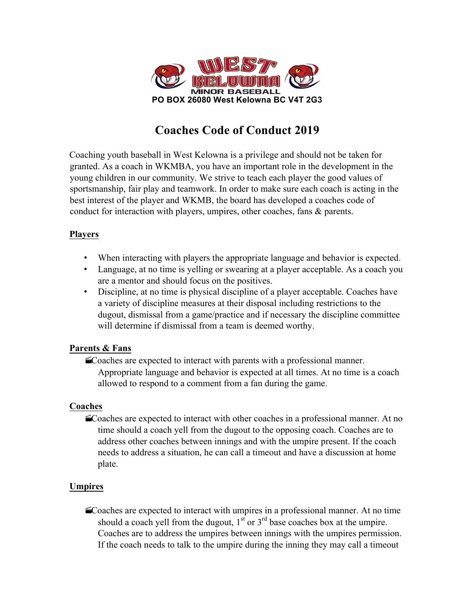

# **Coaches Code of Conduct 2019**

Coaching youth baseball in West Kelowna is a privilege and should not be taken for granted. As a coach in WKMBA, you have an important role in the development in the young children in our community. We strive to teach each player the good values of sportsmanship, fair play and teamwork. In order to make sure each coach is acting in the best interest of the player and WKMB, the board has developed a coaches code of conduct for interaction with players, umpires, other coaches, fans & parents.

## **Players**

- When interacting with players the appropriate language and behavior is expected.
- Language, at no time is yelling or swearing at a player acceptable. As a coach you are a mentor and should focus on the positives.
- Discipline, at no time is physical discipline of a player acceptable. Coaches have a variety of discipline measures at their disposal including restrictions to the dugout, dismissal from a game/practice and if necessary the discipline committee will determine if dismissal from a team is deemed worthy.

## **Parents & Fans**

Coaches are expected to interact with parents with a professional manner. Appropriate language and behavior is expected at all times. At no time is a coach allowed to respond to a comment from a fan during the game.

# **Coaches**

·Coaches are expected to interact with other coaches in a professional manner. At no time should a coach yell from the dugout to the opposing coach. Coaches are to address other coaches between innings and with the umpire present. If the coach needs to address a situation, he can call a timeout and have a discussion at home plate.

## **Umpires**

Coaches are expected to interact with umpires in a professional manner. At no time should a coach yell from the dugout,  $1<sup>st</sup>$  or  $3<sup>rd</sup>$  base coaches box at the umpire. Coaches are to address the umpires between innings with the umpires permission. If the coach needs to talk to the umpire during the inning they may call a timeout